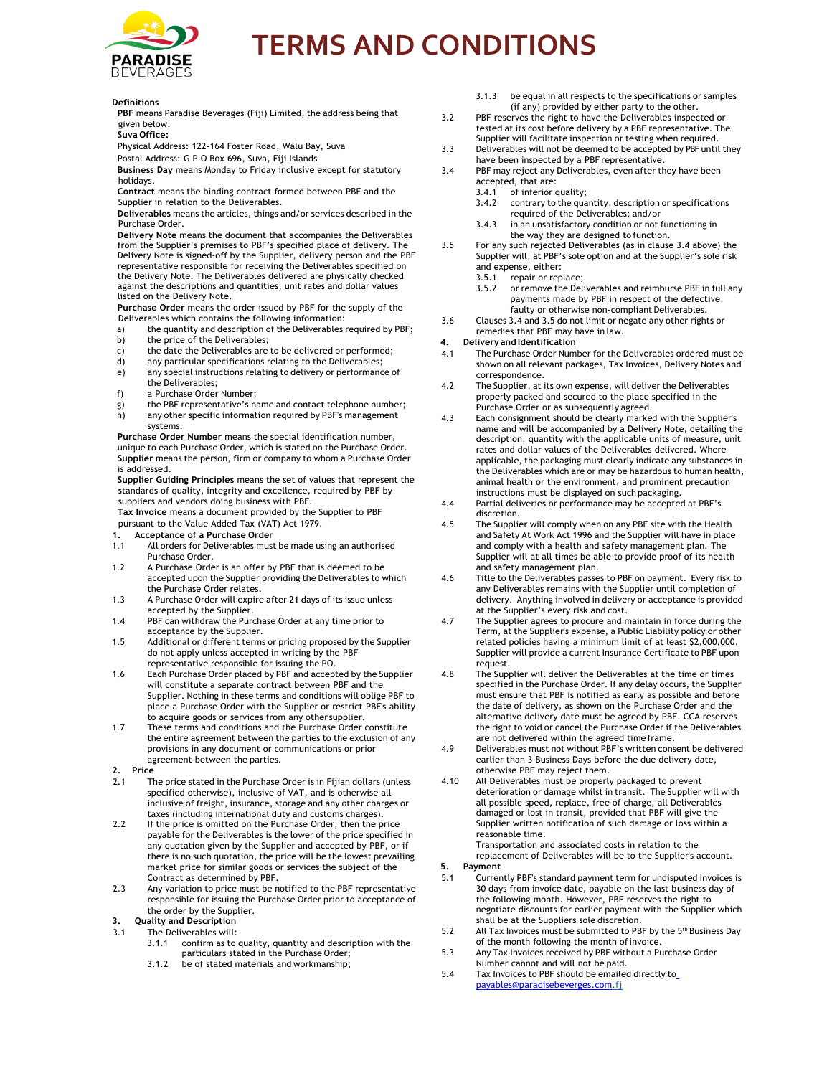

# **TERMS AND CONDITIONS**

#### **Definitions**

**PBF** means Paradise Beverages (Fiji) Limited, the address being that given below.

**Suva Office:**

Physical Address: 122-164 Foster Road, Walu Bay, Suva

Postal Address: G P O Box 696, Suva, Fiji Islands

**Business Day** means Monday to Friday inclusive except for statutory holidays.

**Contract** means the binding contract formed between PBF and the Supplier in relation to the Deliverables.

**Deliverables** means the articles, things and/or services described in the Purchase Order.

**Delivery Note** means the document that accompanies the Deliverables from the Supplier's premises to PBF's specified place of delivery. The Delivery Note is signed-off by the Supplier, delivery person and the PBF representative responsible for receiving the Deliverables specified on the Delivery Note. The Deliverables delivered are physically checked against the descriptions and quantities, unit rates and dollar values listed on the Delivery Note.

**Purchase Order** means the order issued by PBF for the supply of the Deliverables which contains the following information:

- a) the quantity and description of the Deliverables required by PBF; b) the price of the Deliverables;
- 
- c) the date the Deliverables are to be delivered or performed;<br>d) any particular specifications relating to the Deliverables; any particular specifications relating to the Deliverables;
- e) any special instructions relating to delivery or performance of the Deliverables;
- f) a Purchase Order Number;
- g) the PBF representative's name and contact telephone number;
- h) any other specific information required by PBF's management systems.

**Purchase Order Number** means the special identification number, unique to each Purchase Order, which is stated on the Purchase Order. **Supplier** means the person, firm or company to whom a Purchase Order is addressed.

**Supplier Guiding Principles** means the set of values that represent the standards of quality, integrity and excellence, required by PBF by suppliers and vendors doing business with PBF.

**Tax Invoice** means a document provided by the Supplier to PBF pursuant to the Value Added Tax (VAT) Act 1979.

- **1. Acceptance of a Purchase Order**
- 1.1 All orders for Deliverables must be made using an authorised Purchase Order.
- 1.2 A Purchase Order is an offer by PBF that is deemed to be accepted upon the Supplier providing the Deliverables to which the Purchase Order relates.
- 1.3 A Purchase Order will expire after 21 days of its issue unless accepted by the Supplier.
- 1.4 PBF can withdraw the Purchase Order at any time prior to acceptance by the Supplier.
- 1.5 Additional or different terms or pricing proposed by the Supplier do not apply unless accepted in writing by the PBF representative responsible for issuing the PO.
- 1.6 Each Purchase Order placed by PBF and accepted by the Supplier will constitute a separate contract between PBF and the Supplier. Nothing in these terms and conditions will oblige PBF to place a Purchase Order with the Supplier or restrict PBF's ability to acquire goods or services from any other supplier.
- 1.7 These terms and conditions and the Purchase Order constitute the entire agreement between the parties to the exclusion of any provisions in any document or communications or prior agreement between the parties.
- **2. Price**
- 2.1 The price stated in the Purchase Order is in Fijian dollars (unless specified otherwise), inclusive of VAT, and is otherwise all inclusive of freight, insurance, storage and any other charges or taxes (including international duty and customs charges).
- 2.2 If the price is omitted on the Purchase Order, then the price payable for the Deliverables is the lower of the price specified in any quotation given by the Supplier and accepted by PBF, or if there is no such quotation, the price will be the lowest prevailing market price for similar goods or services the subject of the Contract as determined by PBF.
- 2.3 Any variation to price must be notified to the PBF representative responsible for issuing the Purchase Order prior to acceptance of the order by the Supplier.
- **3. Quality and Description**
- 3.1 The Deliverables will:
	- 3.1.1 confirm as to quality, quantity and description with the particulars stated in the Purchase Order;
	- 3.1.2 be of stated materials and workmanship;
- 3.1.3 be equal in all respects to the specifications or samples (if any) provided by either party to the other.
- 3.2 PBF reserves the right to have the Deliverables inspected or tested at its cost before delivery by a PBF representative. The Supplier will facilitate inspection or testing when required.
- 3.3 Deliverables will not be deemed to be accepted by PBF until they have been inspected by a PBF representative.
- 3.4 PBF may reject any Deliverables, even after they have been accepted, that are:
	- 3.4.1 of inferior quality;
		- 3.4.2 contrary to the quantity, description or specifications required of the Deliverables; and/or
	- 3.4.3 in an unsatisfactory condition or not functioning in the way they are designed to function.
- 3.5 For any such rejected Deliverables (as in clause 3.4 above) the Supplier will, at PBF's sole option and at the Supplier's sole risk and expense, either:
	- 3.5.1 repair or replace;
	- 3.5.2 or remove the Deliverables and reimburse PBF in full any payments made by PBF in respect of the defective, faulty or otherwise non-compliant Deliverables.
- 3.6 Clauses 3.4 and 3.5 do not limit or negate any other rights or remedies that PBF may have in law.
- **4. Delivery and Identification**
- 4.1 The Purchase Order Number for the Deliverables ordered must be shown on all relevant packages, Tax Invoices, Delivery Notes and correspondence.
- 4.2 The Supplier, at its own expense, will deliver the Deliverables properly packed and secured to the place specified in the Purchase Order or as subsequently agreed.
- 4.3 Each consignment should be clearly marked with the Supplier's name and will be accompanied by a Delivery Note, detailing the description, quantity with the applicable units of measure, unit rates and dollar values of the Deliverables delivered. Where applicable, the packaging must clearly indicate any substances in the Deliverables which are or may be hazardous to human health, animal health or the environment, and prominent precaution instructions must be displayed on such packaging.
- 4.4 Partial deliveries or performance may be accepted at PBF's discretion.
- 4.5 The Supplier will comply when on any PBF site with the Health and Safety At Work Act 1996 and the Supplier will have in place and comply with a health and safety management plan. The Supplier will at all times be able to provide proof of its health and safety management plan.
- 4.6 Title to the Deliverables passes to PBF on payment. Every risk to any Deliverables remains with the Supplier until completion of delivery. Anything involved in delivery or acceptance is provided at the Supplier's every risk and cost.
- 4.7 The Supplier agrees to procure and maintain in force during the Term, at the Supplier's expense, a Public Liability policy or other related policies having a minimum limit of at least \$2,000,000. Supplier will provide a current Insurance Certificate to PBF upon request.
- 4.8 The Supplier will deliver the Deliverables at the time or times specified in the Purchase Order. If any delay occurs, the Supplier must ensure that PBF is notified as early as possible and before the date of delivery, as shown on the Purchase Order and the alternative delivery date must be agreed by PBF. CCA reserves the right to void or cancel the Purchase Order if the Deliverables are not delivered within the agreed time frame.
- 4.9 Deliverables must not without PBF's written consent be delivered earlier than 3 Business Days before the due delivery date, otherwise PBF may reject them.
- 4.10 All Deliverables must be properly packaged to prevent deterioration or damage whilst in transit. The Supplier will with all possible speed, replace, free of charge, all Deliverables damaged or lost in transit, provided that PBF will give the Supplier written notification of such damage or loss within a reasonable time.

Transportation and associated costs in relation to the replacement of Deliverables will be to the Supplier's account.

- **5. Payment**
- 5.1 Currently PBF's standard payment term for undisputed invoices is 30 days from invoice date, payable on the last business day of the following month. However, PBF reserves the right to negotiate discounts for earlier payment with the Supplier which shall be at the Suppliers sole discretion.
- 5.2 All Tax Invoices must be submitted to PBF by the 5<sup>th</sup> Business Day of the month following the month of invoice.
- 5.3 Any Tax Invoices received by PBF without a Purchase Order Number cannot and will not be paid.
- 5.4 Tax Invoices to PBF should be emailed directly t[o](mailto:%20payables@paradisebeverges.com) [payables@paradisebeverges.com.](mailto:%20payables@paradisebeverges.com)fj